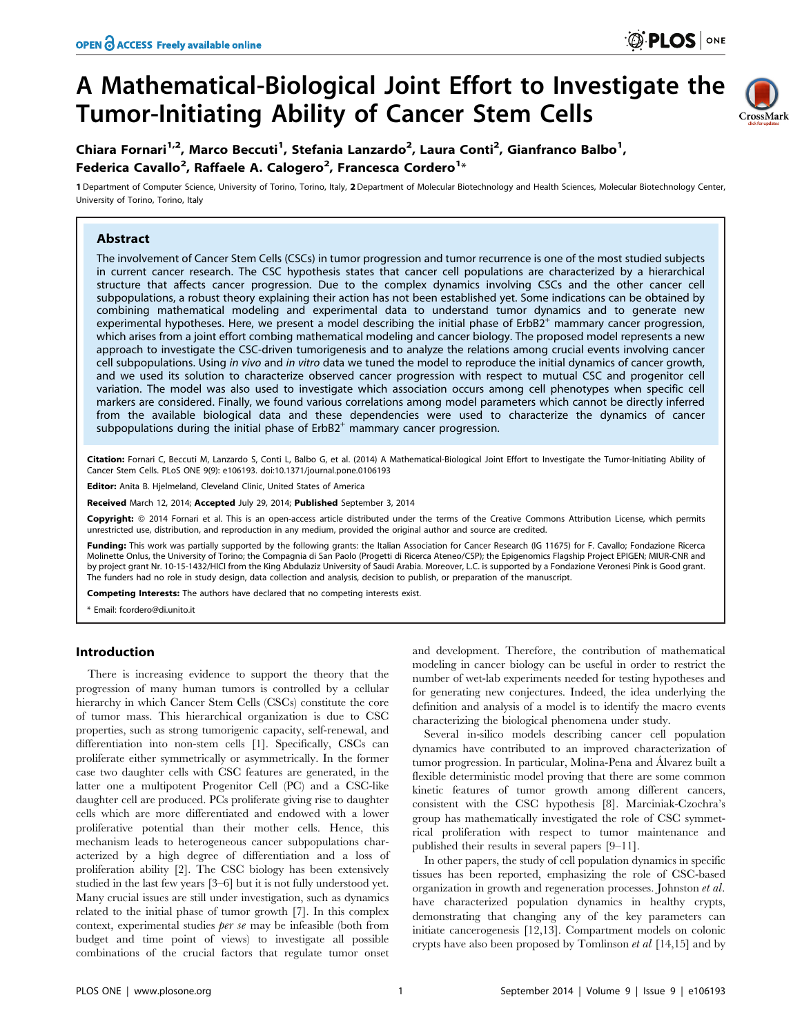# A Mathematical-Biological Joint Effort to Investigate the Tumor-Initiating Ability of Cancer Stem Cells



## Chiara Fornari<sup>1,2</sup>, Marco Beccuti<sup>1</sup>, Stefania Lanzardo<sup>2</sup>, Laura Conti<sup>2</sup>, Gianfranco Balbo<sup>1</sup>, Federica Cavallo<sup>2</sup>, Raffaele A. Calogero<sup>2</sup>, Francesca Cordero<sup>1</sup>\*

1 Department of Computer Science, University of Torino, Torino, Italy, 2 Department of Molecular Biotechnology and Health Sciences, Molecular Biotechnology Center, University of Torino, Torino, Italy

## Abstract

The involvement of Cancer Stem Cells (CSCs) in tumor progression and tumor recurrence is one of the most studied subjects in current cancer research. The CSC hypothesis states that cancer cell populations are characterized by a hierarchical structure that affects cancer progression. Due to the complex dynamics involving CSCs and the other cancer cell subpopulations, a robust theory explaining their action has not been established yet. Some indications can be obtained by combining mathematical modeling and experimental data to understand tumor dynamics and to generate new experimental hypotheses. Here, we present a model describing the initial phase of ErbB2<sup>+</sup> mammary cancer progression, which arises from a joint effort combing mathematical modeling and cancer biology. The proposed model represents a new approach to investigate the CSC-driven tumorigenesis and to analyze the relations among crucial events involving cancer cell subpopulations. Using in vivo and in vitro data we tuned the model to reproduce the initial dynamics of cancer growth, and we used its solution to characterize observed cancer progression with respect to mutual CSC and progenitor cell variation. The model was also used to investigate which association occurs among cell phenotypes when specific cell markers are considered. Finally, we found various correlations among model parameters which cannot be directly inferred from the available biological data and these dependencies were used to characterize the dynamics of cancer subpopulations during the initial phase of ErbB2<sup>+</sup> mammary cancer progression.

Citation: Fornari C, Beccuti M, Lanzardo S, Conti L, Balbo G, et al. (2014) A Mathematical-Biological Joint Effort to Investigate the Tumor-Initiating Ability of Cancer Stem Cells. PLoS ONE 9(9): e106193. doi:10.1371/journal.pone.0106193

Editor: Anita B. Hjelmeland, Cleveland Clinic, United States of America

Received March 12, 2014; Accepted July 29, 2014; Published September 3, 2014

Copyright: © 2014 Fornari et al. This is an open-access article distributed under the terms of the [Creative Commons Attribution License](http://creativecommons.org/licenses/by/4.0/), which permits unrestricted use, distribution, and reproduction in any medium, provided the original author and source are credited.

**Funding:** This work was partially supported by the following grants: the Italian Association for Cancer Research (IG 11675) for F. Cavallo; Fondazione Ricerca<br>Molinette Onlus, the University of Torino; the Compagnia di Sa by project grant Nr. 10-15-1432/HICI from the King Abdulaziz University of Saudi Arabia. Moreover, L.C. is supported by a Fondazione Veronesi Pink is Good grant. The funders had no role in study design, data collection and analysis, decision to publish, or preparation of the manuscript.

Competing Interests: The authors have declared that no competing interests exist.

\* Email: fcordero@di.unito.it

## Introduction

There is increasing evidence to support the theory that the progression of many human tumors is controlled by a cellular hierarchy in which Cancer Stem Cells (CSCs) constitute the core of tumor mass. This hierarchical organization is due to CSC properties, such as strong tumorigenic capacity, self-renewal, and differentiation into non-stem cells [1]. Specifically, CSCs can proliferate either symmetrically or asymmetrically. In the former case two daughter cells with CSC features are generated, in the latter one a multipotent Progenitor Cell (PC) and a CSC-like daughter cell are produced. PCs proliferate giving rise to daughter cells which are more differentiated and endowed with a lower proliferative potential than their mother cells. Hence, this mechanism leads to heterogeneous cancer subpopulations characterized by a high degree of differentiation and a loss of proliferation ability [2]. The CSC biology has been extensively studied in the last few years [3–6] but it is not fully understood yet. Many crucial issues are still under investigation, such as dynamics related to the initial phase of tumor growth [7]. In this complex context, experimental studies per se may be infeasible (both from budget and time point of views) to investigate all possible combinations of the crucial factors that regulate tumor onset

and development. Therefore, the contribution of mathematical modeling in cancer biology can be useful in order to restrict the number of wet-lab experiments needed for testing hypotheses and for generating new conjectures. Indeed, the idea underlying the definition and analysis of a model is to identify the macro events characterizing the biological phenomena under study.

Several in-silico models describing cancer cell population dynamics have contributed to an improved characterization of tumor progression. In particular, Molina-Pena and Álvarez built a flexible deterministic model proving that there are some common kinetic features of tumor growth among different cancers, consistent with the CSC hypothesis [8]. Marciniak-Czochra's group has mathematically investigated the role of CSC symmetrical proliferation with respect to tumor maintenance and published their results in several papers [9–11].

In other papers, the study of cell population dynamics in specific tissues has been reported, emphasizing the role of CSC-based organization in growth and regeneration processes. Johnston et al. have characterized population dynamics in healthy crypts, demonstrating that changing any of the key parameters can initiate cancerogenesis [12,13]. Compartment models on colonic crypts have also been proposed by Tomlinson et al [14,15] and by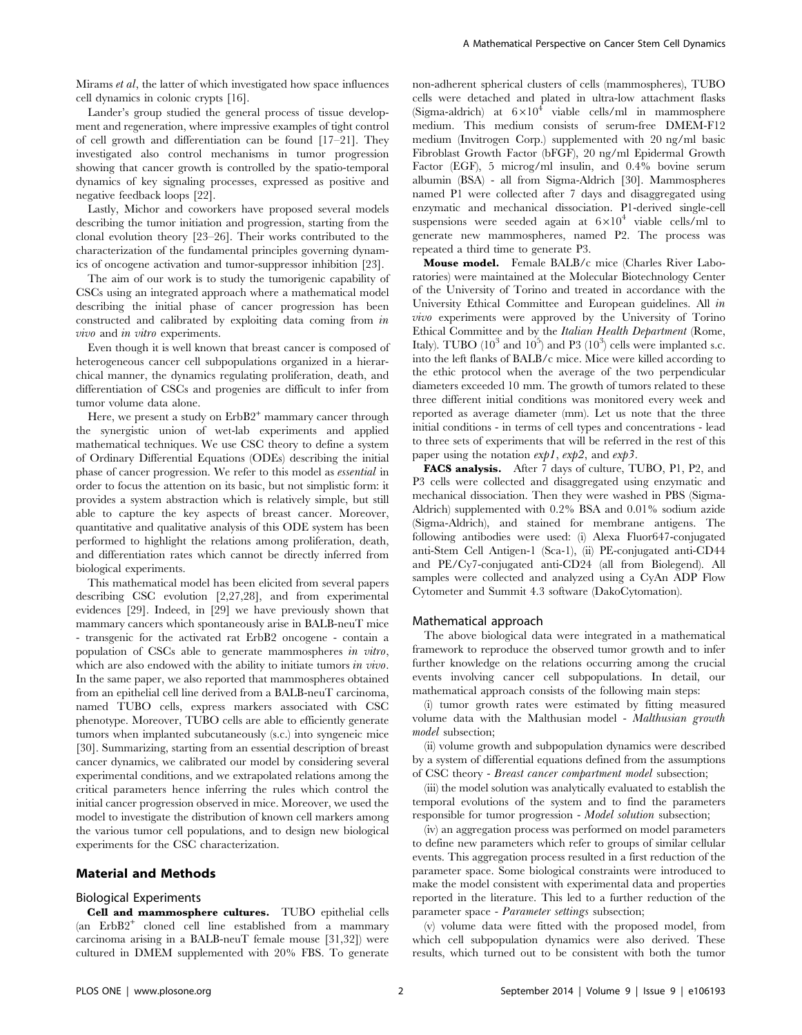Lander's group studied the general process of tissue development and regeneration, where impressive examples of tight control of cell growth and differentiation can be found [17–21]. They investigated also control mechanisms in tumor progression showing that cancer growth is controlled by the spatio-temporal dynamics of key signaling processes, expressed as positive and negative feedback loops [22].

Lastly, Michor and coworkers have proposed several models describing the tumor initiation and progression, starting from the clonal evolution theory [23–26]. Their works contributed to the characterization of the fundamental principles governing dynamics of oncogene activation and tumor-suppressor inhibition [23].

The aim of our work is to study the tumorigenic capability of CSCs using an integrated approach where a mathematical model describing the initial phase of cancer progression has been constructed and calibrated by exploiting data coming from in vivo and in vitro experiments.

Even though it is well known that breast cancer is composed of heterogeneous cancer cell subpopulations organized in a hierarchical manner, the dynamics regulating proliferation, death, and differentiation of CSCs and progenies are difficult to infer from tumor volume data alone.

Here, we present a study on  $ErbB2$ <sup>+</sup> mammary cancer through the synergistic union of wet-lab experiments and applied mathematical techniques. We use CSC theory to define a system of Ordinary Differential Equations (ODEs) describing the initial phase of cancer progression. We refer to this model as essential in order to focus the attention on its basic, but not simplistic form: it provides a system abstraction which is relatively simple, but still able to capture the key aspects of breast cancer. Moreover, quantitative and qualitative analysis of this ODE system has been performed to highlight the relations among proliferation, death, and differentiation rates which cannot be directly inferred from biological experiments.

This mathematical model has been elicited from several papers describing CSC evolution [2,27,28], and from experimental evidences [29]. Indeed, in [29] we have previously shown that mammary cancers which spontaneously arise in BALB-neuT mice - transgenic for the activated rat ErbB2 oncogene - contain a population of CSCs able to generate mammospheres in vitro, which are also endowed with the ability to initiate tumors in vivo. In the same paper, we also reported that mammospheres obtained from an epithelial cell line derived from a BALB-neuT carcinoma, named TUBO cells, express markers associated with CSC phenotype. Moreover, TUBO cells are able to efficiently generate tumors when implanted subcutaneously (s.c.) into syngeneic mice [30]. Summarizing, starting from an essential description of breast cancer dynamics, we calibrated our model by considering several experimental conditions, and we extrapolated relations among the critical parameters hence inferring the rules which control the initial cancer progression observed in mice. Moreover, we used the model to investigate the distribution of known cell markers among the various tumor cell populations, and to design new biological experiments for the CSC characterization.

## Material and Methods

#### Biological Experiments

Cell and mammosphere cultures. TUBO epithelial cells (an ErbB2<sup>+</sup> cloned cell line established from a mammary carcinoma arising in a BALB-neuT female mouse [31,32]) were cultured in DMEM supplemented with 20% FBS. To generate

non-adherent spherical clusters of cells (mammospheres), TUBO cells were detached and plated in ultra-low attachment flasks (Sigma-aldrich) at  $6\times10^4$  viable cells/ml in mammosphere medium. This medium consists of serum-free DMEM-F12 medium (Invitrogen Corp.) supplemented with 20 ng/ml basic Fibroblast Growth Factor (bFGF), 20 ng/ml Epidermal Growth Factor (EGF), 5 microg/ml insulin, and 0.4% bovine serum albumin (BSA) - all from Sigma-Aldrich [30]. Mammospheres named P1 were collected after 7 days and disaggregated using enzymatic and mechanical dissociation. P1-derived single-cell suspensions were seeded again at  $6 \times 10^4$  viable cells/ml to generate new mammospheres, named P2. The process was repeated a third time to generate P3.

Mouse model. Female BALB/c mice (Charles River Laboratories) were maintained at the Molecular Biotechnology Center of the University of Torino and treated in accordance with the University Ethical Committee and European guidelines. All in vivo experiments were approved by the University of Torino Ethical Committee and by the Italian Health Department (Rome, Italy). TUBO  $(10^3 \text{ and } 10^5)$  and P3  $(10^3)$  cells were implanted s.c. into the left flanks of BALB/c mice. Mice were killed according to the ethic protocol when the average of the two perpendicular diameters exceeded 10 mm. The growth of tumors related to these three different initial conditions was monitored every week and reported as average diameter (mm). Let us note that the three initial conditions - in terms of cell types and concentrations - lead to three sets of experiments that will be referred in the rest of this paper using the notation  $exp1$ ,  $exp2$ , and  $exp3$ .

FACS analysis. After 7 days of culture, TUBO, P1, P2, and P3 cells were collected and disaggregated using enzymatic and mechanical dissociation. Then they were washed in PBS (Sigma-Aldrich) supplemented with 0.2% BSA and 0.01% sodium azide (Sigma-Aldrich), and stained for membrane antigens. The following antibodies were used: (i) Alexa Fluor647-conjugated anti-Stem Cell Antigen-1 (Sca-1), (ii) PE-conjugated anti-CD44 and PE/Cy7-conjugated anti-CD24 (all from Biolegend). All samples were collected and analyzed using a CyAn ADP Flow Cytometer and Summit 4.3 software (DakoCytomation).

## Mathematical approach

The above biological data were integrated in a mathematical framework to reproduce the observed tumor growth and to infer further knowledge on the relations occurring among the crucial events involving cancer cell subpopulations. In detail, our mathematical approach consists of the following main steps:

(i) tumor growth rates were estimated by fitting measured volume data with the Malthusian model - Malthusian growth model subsection;

(ii) volume growth and subpopulation dynamics were described by a system of differential equations defined from the assumptions of CSC theory - Breast cancer compartment model subsection;

(iii) the model solution was analytically evaluated to establish the temporal evolutions of the system and to find the parameters responsible for tumor progression - Model solution subsection;

(iv) an aggregation process was performed on model parameters to define new parameters which refer to groups of similar cellular events. This aggregation process resulted in a first reduction of the parameter space. Some biological constraints were introduced to make the model consistent with experimental data and properties reported in the literature. This led to a further reduction of the parameter space - Parameter settings subsection;

(v) volume data were fitted with the proposed model, from which cell subpopulation dynamics were also derived. These results, which turned out to be consistent with both the tumor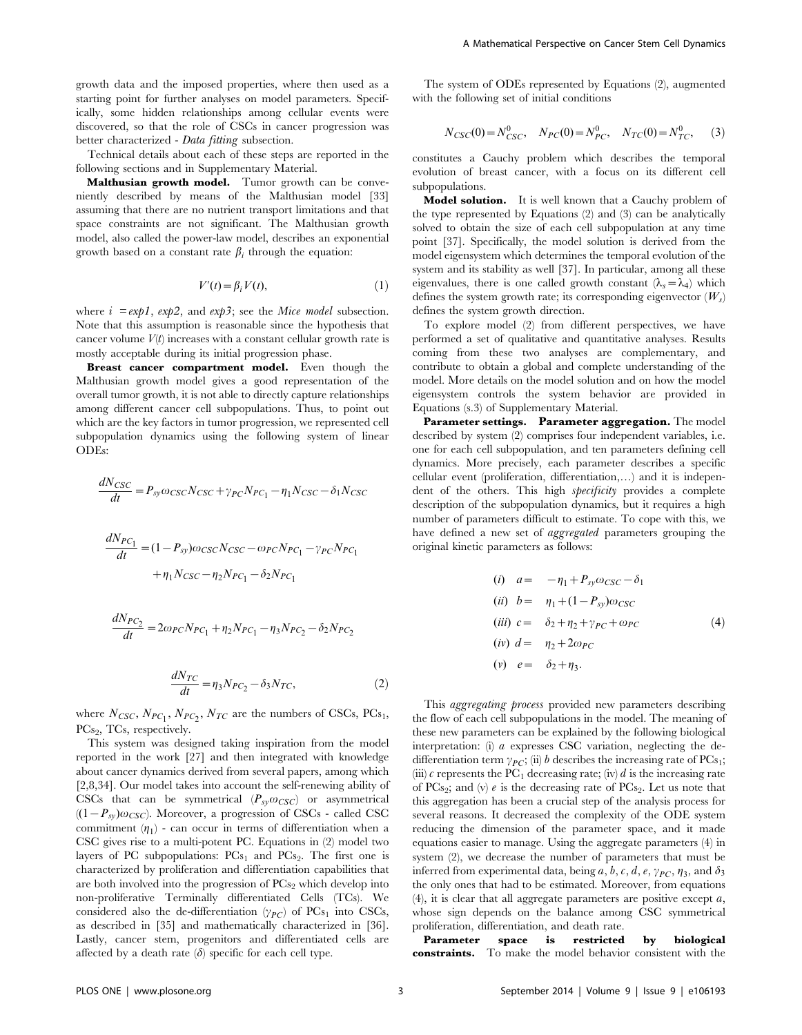growth data and the imposed properties, where then used as a starting point for further analyses on model parameters. Specifically, some hidden relationships among cellular events were discovered, so that the role of CSCs in cancer progression was better characterized - Data fitting subsection.

Technical details about each of these steps are reported in the following sections and in Supplementary Material.

Malthusian growth model. Tumor growth can be conveniently described by means of the Malthusian model [33] assuming that there are no nutrient transport limitations and that space constraints are not significant. The Malthusian growth model, also called the power-law model, describes an exponential growth based on a constant rate  $\beta_i$  through the equation:

$$
V'(t) = \beta_i V(t),\tag{1}
$$

where  $i = exp1$ ,  $exp2$ , and  $exp3$ ; see the *Mice model* subsection. Note that this assumption is reasonable since the hypothesis that cancer volume  $V(t)$  increases with a constant cellular growth rate is mostly acceptable during its initial progression phase.

Breast cancer compartment model. Even though the Malthusian growth model gives a good representation of the overall tumor growth, it is not able to directly capture relationships among different cancer cell subpopulations. Thus, to point out which are the key factors in tumor progression, we represented cell subpopulation dynamics using the following system of linear ODEs:

$$
\frac{dN_{CSC}}{dt} = P_{sy}\omega_{CSC}N_{CSC} + \gamma_{PC}N_{PC_1} - \eta_1N_{CSC} - \delta_1N_{CSC}
$$

$$
\frac{dN_{PC_1}}{dt} = (1 - P_{sy})\omega_{CSC}N_{CSC} - \omega_{PC}N_{PC_1} - \gamma_{PC}N_{PC_1} + \eta_1 N_{CSC} - \eta_2 N_{PC_1} - \delta_2 N_{PC_1}
$$

$$
\frac{dN_{PC_2}}{dt} = 2\omega_{PC}N_{PC_1} + \eta_2N_{PC_1} - \eta_3N_{PC_2} - \delta_2N_{PC_2}
$$

$$
\frac{dN_{TC}}{dt} = \eta_3 N_{PC_2} - \delta_3 N_{TC},\tag{2}
$$

where  $N_{CSC}$ ,  $N_{PC_1}$ ,  $N_{PC_2}$ ,  $N_{TC}$  are the numbers of CSCs, PCs<sub>1</sub>, PCs<sub>2</sub>, TCs, respectively.

This system was designed taking inspiration from the model reported in the work [27] and then integrated with knowledge about cancer dynamics derived from several papers, among which [2,8,34]. Our model takes into account the self-renewing ability of CSCs that can be symmetrical  $(P_{sy}\omega_{CSC})$  or asymmetrical  $((1-P<sub>sy</sub>)\omega_{CSC})$ . Moreover, a progression of CSCs - called CSC commitment  $(\eta_1)$  - can occur in terms of differentiation when a CSC gives rise to a multi-potent PC. Equations in (2) model two layers of PC subpopulations:  $PCs<sub>1</sub>$  and  $PCs<sub>2</sub>$ . The first one is characterized by proliferation and differentiation capabilities that are both involved into the progression of  $PCs_2$  which develop into non-proliferative Terminally differentiated Cells (TCs). We considered also the de-differentiation  $(\gamma_{PC})$  of PCs<sub>1</sub> into CSCs, as described in [35] and mathematically characterized in [36]. Lastly, cancer stem, progenitors and differentiated cells are affected by a death rate  $(\delta)$  specific for each cell type.

The system of ODEs represented by Equations (2), augmented with the following set of initial conditions

$$
N_{CSC}(0) = N_{CSC}^{0}, \quad N_{PC}(0) = N_{PC}^{0}, \quad N_{TC}(0) = N_{TC}^{0}, \quad (3)
$$

constitutes a Cauchy problem which describes the temporal evolution of breast cancer, with a focus on its different cell subpopulations.

**Model solution.** It is well known that a Cauchy problem of the type represented by Equations (2) and (3) can be analytically solved to obtain the size of each cell subpopulation at any time point [37]. Specifically, the model solution is derived from the model eigensystem which determines the temporal evolution of the system and its stability as well [37]. In particular, among all these eigenvalues, there is one called growth constant  $(\lambda_s = \lambda_4)$  which defines the system growth rate; its corresponding eigenvector  $(W_s)$ defines the system growth direction.

To explore model (2) from different perspectives, we have performed a set of qualitative and quantitative analyses. Results coming from these two analyses are complementary, and contribute to obtain a global and complete understanding of the model. More details on the model solution and on how the model eigensystem controls the system behavior are provided in Equations (s.3) of Supplementary Material.

Parameter settings. Parameter aggregation. The model described by system (2) comprises four independent variables, i.e. one for each cell subpopulation, and ten parameters defining cell dynamics. More precisely, each parameter describes a specific cellular event (proliferation, differentiation,…) and it is independent of the others. This high specificity provides a complete description of the subpopulation dynamics, but it requires a high number of parameters difficult to estimate. To cope with this, we have defined a new set of aggregated parameters grouping the original kinetic parameters as follows:

(i) 
$$
a = -\eta_1 + P_{sy}\omega_{CSC} - \delta_1
$$
  
\n(ii)  $b = \eta_1 + (1 - P_{sy})\omega_{CSC}$   
\n(iii)  $c = \delta_2 + \eta_2 + \gamma_{PC} + \omega_{PC}$   
\n(iv)  $d = \eta_2 + 2\omega_{PC}$   
\n(v)  $e = \delta_2 + \eta_3$ .

This aggregating process provided new parameters describing the flow of each cell subpopulations in the model. The meaning of these new parameters can be explained by the following biological interpretation: (i) a expresses CSC variation, neglecting the dedifferentiation term  $\gamma_{PC}$ ; (ii) b describes the increasing rate of PCs<sub>1</sub>; (iii)  $c$  represents the PC<sub>1</sub> decreasing rate; (iv)  $d$  is the increasing rate of  $PCs_2$ ; and (v) e is the decreasing rate of  $PCs_2$ . Let us note that this aggregation has been a crucial step of the analysis process for several reasons. It decreased the complexity of the ODE system reducing the dimension of the parameter space, and it made equations easier to manage. Using the aggregate parameters (4) in system (2), we decrease the number of parameters that must be inferred from experimental data, being a, b, c, d, e,  $\gamma_{PC}$ ,  $\eta_3$ , and  $\delta_3$ the only ones that had to be estimated. Moreover, from equations (4), it is clear that all aggregate parameters are positive except a, whose sign depends on the balance among CSC symmetrical proliferation, differentiation, and death rate.

Parameter space is restricted by biological constraints. To make the model behavior consistent with the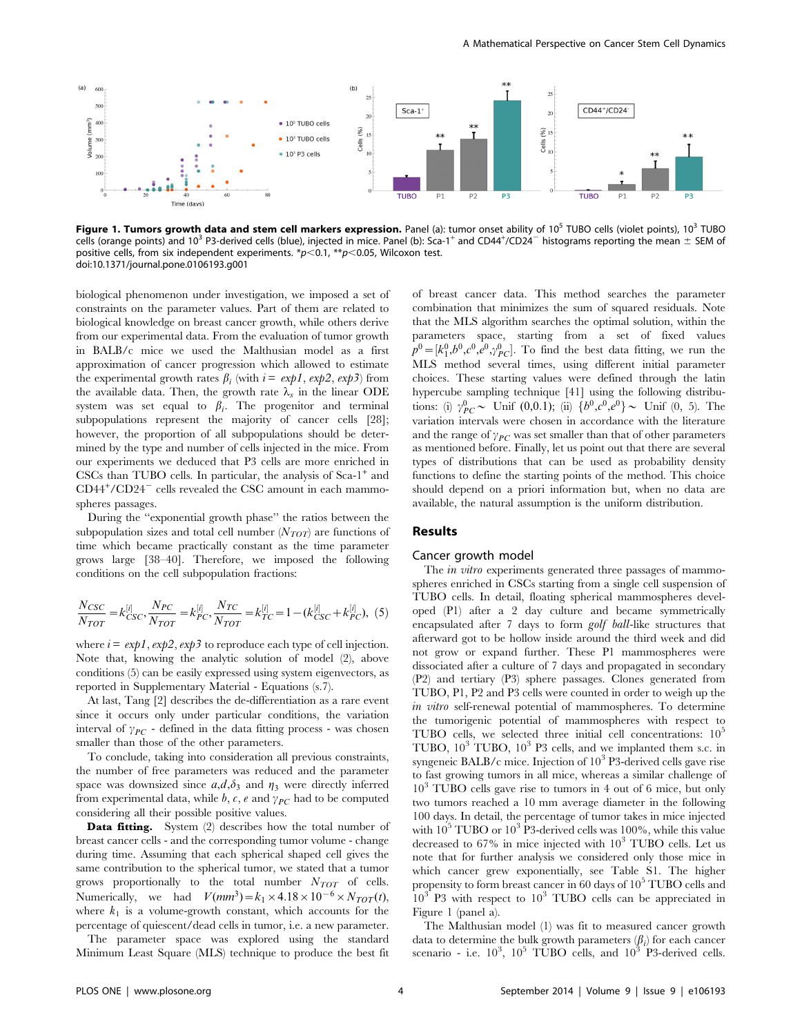

Figure 1. Tumors growth data and stem cell markers expression. Panel (a): tumor onset ability of  $10^5$  TUBO cells (violet points),  $10^3$  TUBO cells (orange points) and 10<sup>3</sup> P3-derived cells (blue), injected in mice. Panel (b): Sca-1<sup>+</sup> and CD44+/CD24<sup>-</sup> histograms reporting the mean  $\pm$  SEM of positive cells, from six independent experiments.  $\sp{\ast}p$ <0.1,  $\sp{\ast}\sp{\ast}p$ <0.05, Wilcoxon test. doi:10.1371/journal.pone.0106193.g001

biological phenomenon under investigation, we imposed a set of constraints on the parameter values. Part of them are related to biological knowledge on breast cancer growth, while others derive from our experimental data. From the evaluation of tumor growth in BALB/c mice we used the Malthusian model as a first approximation of cancer progression which allowed to estimate the experimental growth rates  $\beta_i$  (with  $i = exp1, exp2, exp3$ ) from the available data. Then, the growth rate  $\lambda_s$  in the linear ODE system was set equal to  $\beta_i$ . The progenitor and terminal subpopulations represent the majority of cancer cells [28]; however, the proportion of all subpopulations should be determined by the type and number of cells injected in the mice. From our experiments we deduced that P3 cells are more enriched in CSCs than TUBO cells. In particular, the analysis of Sca-1<sup>+</sup> and CD44<sup>+</sup>/CD24<sup>-</sup> cells revealed the CSC amount in each mammospheres passages.

During the ''exponential growth phase'' the ratios between the subpopulation sizes and total cell number  $(N_{TOT})$  are functions of time which became practically constant as the time parameter grows large [38–40]. Therefore, we imposed the following conditions on the cell subpopulation fractions:

$$
\frac{N_{CSC}}{N_{TOT}} = k_{CSC}^{[i]}, \frac{N_{PC}}{N_{TOT}} = k_{PC}^{[i]}, \frac{N_{TC}}{N_{TOT}} = k_{TC}^{[i]} = 1 - (k_{CSC}^{[i]} + k_{PC}^{[i]}), (5)
$$

where  $i = exp1, exp2, exp3$  to reproduce each type of cell injection. Note that, knowing the analytic solution of model (2), above conditions (5) can be easily expressed using system eigenvectors, as reported in Supplementary Material - Equations (s.7).

At last, Tang [2] describes the de-differentiation as a rare event since it occurs only under particular conditions, the variation interval of  $\gamma_{PC}$  - defined in the data fitting process - was chosen smaller than those of the other parameters.

To conclude, taking into consideration all previous constraints, the number of free parameters was reduced and the parameter space was downsized since  $a, d, \delta_3$  and  $\eta_3$  were directly inferred from experimental data, while  $b, c, e$  and  $\gamma_{PC}$  had to be computed considering all their possible positive values.

**Data fitting.** System (2) describes how the total number of breast cancer cells - and the corresponding tumor volume - change during time. Assuming that each spherical shaped cell gives the same contribution to the spherical tumor, we stated that a tumor grows proportionally to the total number  $N_{TOT}$  of cells. Numerically, we had  $V(mm^3) = k_1 \times 4.18 \times 10^{-6} \times N_{TOT}(t)$ , where  $k_1$  is a volume-growth constant, which accounts for the percentage of quiescent/dead cells in tumor, i.e. a new parameter.

The parameter space was explored using the standard Minimum Least Square (MLS) technique to produce the best fit of breast cancer data. This method searches the parameter combination that minimizes the sum of squared residuals. Note that the MLS algorithm searches the optimal solution, within the parameters space, starting from a set of fixed values  $p^0 = [k_1^0, b^0, c^0, e^0, \gamma_{PC}^0]$ . To find the best data fitting, we run the MLS method several times, using different initial parameter choices. These starting values were defined through the latin hypercube sampling technique [41] using the following distributions: (i)  $\gamma_{PC}^0 \sim$  Unif (0,0.1); (ii)  $\{b^0, c^0, e^0\} \sim$  Unif (0, 5). The variation intervals were chosen in accordance with the literature and the range of  $\gamma_{PC}$  was set smaller than that of other parameters as mentioned before. Finally, let us point out that there are several types of distributions that can be used as probability density functions to define the starting points of the method. This choice should depend on a priori information but, when no data are available, the natural assumption is the uniform distribution.

#### Results

#### Cancer growth model

The *in vitro* experiments generated three passages of mammospheres enriched in CSCs starting from a single cell suspension of TUBO cells. In detail, floating spherical mammospheres developed (P1) after a 2 day culture and became symmetrically encapsulated after 7 days to form golf ball-like structures that afterward got to be hollow inside around the third week and did not grow or expand further. These P1 mammospheres were dissociated after a culture of 7 days and propagated in secondary (P2) and tertiary (P3) sphere passages. Clones generated from TUBO, P1, P2 and P3 cells were counted in order to weigh up the in vitro self-renewal potential of mammospheres. To determine the tumorigenic potential of mammospheres with respect to TUBO cells, we selected three initial cell concentrations:  $10^5$ TUBO,  $10^3$  TUBO,  $10^3$  P3 cells, and we implanted them s.c. in syngeneic BALB/c mice. Injection of  $10^3$  P3-derived cells gave rise to fast growing tumors in all mice, whereas a similar challenge of 103 TUBO cells gave rise to tumors in 4 out of 6 mice, but only two tumors reached a 10 mm average diameter in the following 100 days. In detail, the percentage of tumor takes in mice injected with  $10^5$  TUBO or  $10^3$  P3-derived cells was  $100\%$ , while this value decreased to  $67\%$  in mice injected with  $10^3$  TUBO cells. Let us note that for further analysis we considered only those mice in which cancer grew exponentially, see Table S1. The higher propensity to form breast cancer in  $60$  days of  $10<sup>5</sup>$  TUBO cells and  $10^3$  P3 with respect to  $10^3$  TUBO cells can be appreciated in Figure 1 (panel a).

The Malthusian model (1) was fit to measured cancer growth data to determine the bulk growth parameters  $(\beta_i)$  for each cancer scenario - i.e.  $10^3$ ,  $10^5$  TUBO cells, and  $10^3$  P3-derived cells.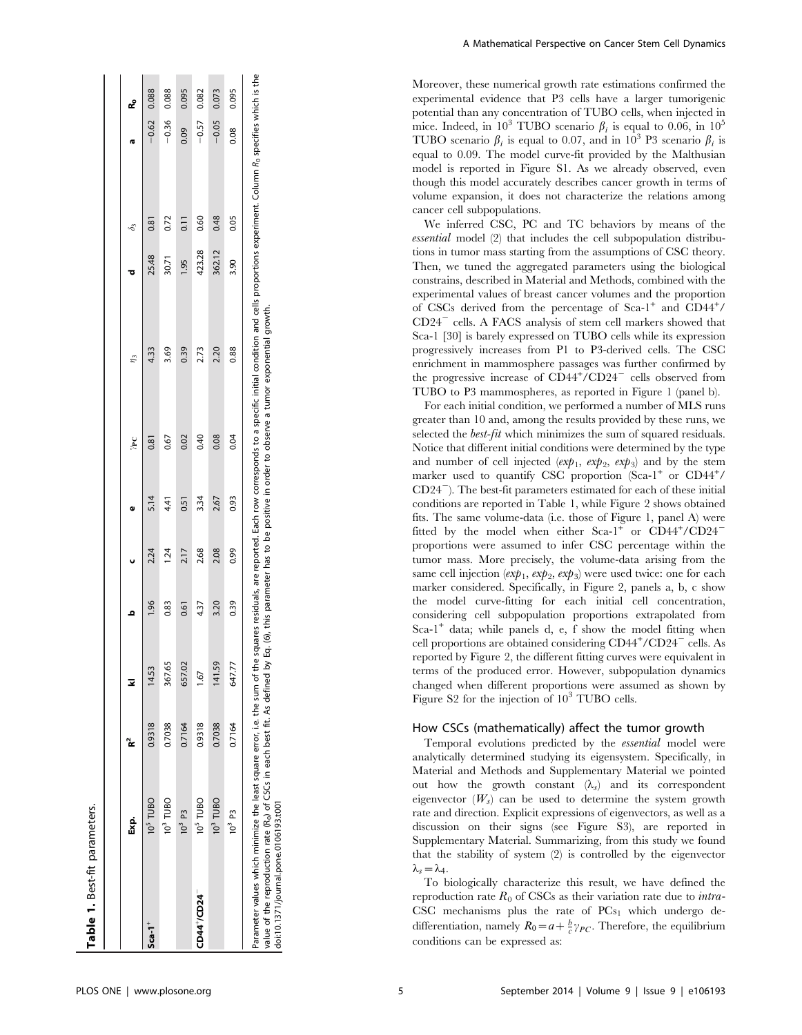|                                                                                                                                                            | Exp.                    | ř      | v      | ٥     |      | Φ    | <sup>γ</sup> P€                                                                           | $\eta_3$                                                                                                                                                             | o      | $\delta_3$        | ٢Ō            | ٩ò    |
|------------------------------------------------------------------------------------------------------------------------------------------------------------|-------------------------|--------|--------|-------|------|------|-------------------------------------------------------------------------------------------|----------------------------------------------------------------------------------------------------------------------------------------------------------------------|--------|-------------------|---------------|-------|
| $Sca-1$ <sup>+</sup>                                                                                                                                       | 10 <sup>5</sup> TUBO    | 0.9318 | 14.53  | $-96$ | 2.24 | 5.14 | 0.81                                                                                      | 4.33                                                                                                                                                                 | 25.48  | 0.81              | $-0.62$ 0.088 |       |
|                                                                                                                                                            | $103$ TUBO              | 0.7038 | 367.65 | 0.83  | 1.24 | 4.41 | 0.67                                                                                      | 3.69                                                                                                                                                                 | 30.71  | 0.72              | $-0.36$       | 0.088 |
|                                                                                                                                                            | $10^{3}$ P3             | 0.7164 | 657.02 | 0.61  | 2.17 | 0.51 | 0.02                                                                                      | 0.39                                                                                                                                                                 | 95     | $\overline{0.11}$ | 0.09          | 0.095 |
| $CD44$ <sup>+</sup> /CD24                                                                                                                                  | 10 <sup>5</sup> TUBO    | 0.9318 | 1.67   | 4.37  | 2.68 | 3.34 | 0.40                                                                                      | 2.73                                                                                                                                                                 | 423.28 | 0.60              | $-0.57$       | 0.082 |
|                                                                                                                                                            | $103$ TUBO              | 0.7038 | 141.59 | 3.20  | 2.08 | 2.67 | 0.08                                                                                      | 2.20                                                                                                                                                                 | 362.12 | 0.48              | $-0.05$       | 0.073 |
|                                                                                                                                                            | $10^{3}$ P <sub>3</sub> | 0.7164 | 647.77 | 0.39  | 0.99 | 0.93 | 0.04                                                                                      | 0.88                                                                                                                                                                 | 3.90   | 0.05              | 0.08          | 0.095 |
| Parameter values which minimize the least square error, i.e. the sum of the<br>value of the reproduction rate (R.) of CSCs in each best fit. As defined by |                         |        |        |       |      |      | Eq. (6) this parameter has to be positive in order to observe a tumor exponential growth. | squares residuals, are reported. Each row corresponds to a specific initial condition and cells proportions experiment. Column R <sub>0</sub> specifies which is the |        |                   |               |       |

value of the reproduction rate (R0) of CSCs in each best fit. As defined by Eq. (6), this parameter has to be positive in order to observe a tumor exponential growth. value of the reproduction rate (K<sub>o</sub>) of<br>doi:10.1371/journal.pone.0106193.t001 doi:10.1371/journal.pone.0106193.t001

A Mathematical Perspective on Cancer Stem Cell Dynamics

Moreover, these numerical growth rate estimations confirmed the experimental evidence that P3 cells have a larger tumorigenic potential than any concentration of TUBO cells, when injected in mice. Indeed, in  $10^3$  TUBO scenario  $\beta_i$  is equal to 0.06, in  $10^5$ TUBO scenario  $\beta_i$  is equal to 0.07, and in 10<sup>3</sup> P3 scenario  $\beta_i$  is equal to 0.09. The model curve-fit provided by the Malthusian model is reported in Figure S1. As we already observed, even though this model accurately describes cancer growth in terms of volume expansion, it does not characterize the relations among cancer cell subpopulations.

We inferred CSC, PC and TC behaviors by means of the essential model (2) that includes the cell subpopulation distributions in tumor mass starting from the assumptions of CSC theory. Then, we tuned the aggregated parameters using the biological constrains, described in Material and Methods, combined with the experimental values of breast cancer volumes and the proportion of CSCs derived from the percentage of Sca-1<sup>+</sup> and CD44<sup>+</sup>/  $CD24$ <sup> $-$ </sup> cells. A FACS analysis of stem cell markers showed that Sca-1 [30] is barely expressed on TUBO cells while its expression progressively increases from P1 to P3-derived cells. The CSC enrichment in mammosphere passages was further confirmed by the progressive increase of CD44+/CD24<sup>-</sup> cells observed from TUBO to P3 mammospheres, as reported in Figure 1 (panel b).

For each initial condition, we performed a number of MLS runs greater than 10 and, among the results provided by these runs, we selected the best-fit which minimizes the sum of squared residuals. Notice that different initial conditions were determined by the type and number of cell injected  $(exp_1, exp_2, exp_3)$  and by the stem marker used to quantify CSC proportion (Sca-1<sup>+</sup> or CD44<sup>+</sup>/  $CD24^-$ ). The best-fit parameters estimated for each of these initial conditions are reported in Table 1, while Figure 2 shows obtained fits. The same volume-data (i.e. those of Figure 1, panel A) were fitted by the model when either Sca-1<sup>+</sup> or  $CD44^+/CD24^$ proportions were assumed to infer CSC percentage within the tumor mass. More precisely, the volume-data arising from the same cell injection ( $exp_1$ ,  $exp_2$ ,  $exp_3$ ) were used twice: one for each marker considered. Specifically, in Figure 2, panels a, b, c show the model curve-fitting for each initial cell concentration, considering cell subpopulation proportions extrapolated from Sca-1<sup>+</sup> data; while panels d, e, f show the model fitting when cell proportions are obtained considering CD44+/CD24<sup>-</sup> cells. As reported by Figure 2, the different fitting curves were equivalent in terms of the produced error. However, subpopulation dynamics changed when different proportions were assumed as shown by Figure S2 for the injection of  $10^3$  TUBO cells.

## How CSCs (mathematically) affect the tumor growth

Temporal evolutions predicted by the essential model were analytically determined studying its eigensystem. Specifically, in Material and Methods and Supplementary Material we pointed out how the growth constant  $(\lambda_s)$  and its correspondent eigenvector  $(W<sub>s</sub>)$  can be used to determine the system growth rate and direction. Explicit expressions of eigenvectors, as well as a discussion on their signs (see Figure S3), are reported in Supplementary Material. Summarizing, from this study we found that the stability of system (2) is controlled by the eigenvector  $\lambda_s = \lambda_4$ .

To biologically characterize this result, we have defined the reproduction rate  $R_0$  of CSCs as their variation rate due to *intra*-CSC mechanisms plus the rate of  $PCs<sub>1</sub>$  which undergo dedifferentiation, namely  $R_0 = a + \frac{b}{c} \gamma_{PC}$ . Therefore, the equilibrium conditions can be expressed as:

Table 1. Best-fit parameters.

Table 1. Best-fit parameters.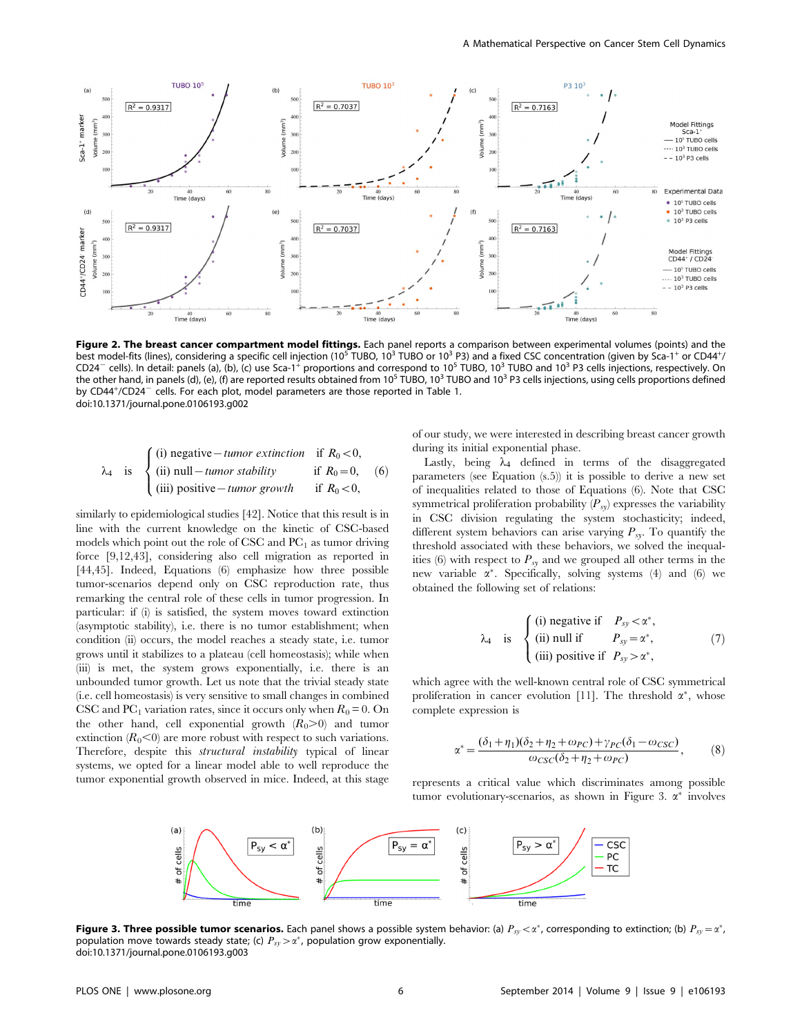

Figure 2. The breast cancer compartment model fittings. Each panel reports a comparison between experimental volumes (points) and the best model-fits (lines), considering a specific cell injection (10<sup>5</sup> TUBO, 10<sup>3</sup> TUBO or 10<sup>3</sup> P3) and a fixed CSC concentration (given by Sca-1<sup>+</sup> or CD44<sup>+</sup>/ CD24<sup>-</sup> cells). In detail: panels (a), (b), (c) use Sca-1<sup>+</sup> proportions and correspond to 10<sup>5</sup> TUBO, 10<sup>3</sup> TUBO and 10<sup>3</sup> P3 cells injections, respectively. On the other hand, in panels (d), (e), (f) are reported results obtained from 10<sup>5</sup> TUBO, 10<sup>3</sup> TUBO and 10<sup>3</sup> P3 cells injections, using cells proportions defined by CD44<sup>+</sup>/CD24<sup>-</sup> cells. For each plot, model parameters are those reported in Table 1. doi:10.1371/journal.pone.0106193.g002

$$
\lambda_4 \quad \text{is} \quad\n\begin{cases}\n(i) \text{ negative} - \text{tumor extinction} & \text{if } R_0 < 0, \\
(ii) \text{ null} - \text{tumor stability} & \text{if } R_0 = 0, \\
(iii) \text{ positive} - \text{tumor growth} & \text{if } R_0 < 0,\n\end{cases}\n\tag{6}
$$

similarly to epidemiological studies [42]. Notice that this result is in line with the current knowledge on the kinetic of CSC-based models which point out the role of CSC and  $PC<sub>1</sub>$  as tumor driving force [9,12,43], considering also cell migration as reported in [44,45]. Indeed, Equations (6) emphasize how three possible tumor-scenarios depend only on CSC reproduction rate, thus remarking the central role of these cells in tumor progression. In particular: if (i) is satisfied, the system moves toward extinction (asymptotic stability), i.e. there is no tumor establishment; when condition (ii) occurs, the model reaches a steady state, i.e. tumor grows until it stabilizes to a plateau (cell homeostasis); while when (iii) is met, the system grows exponentially, i.e. there is an unbounded tumor growth. Let us note that the trivial steady state (i.e. cell homeostasis) is very sensitive to small changes in combined CSC and PC<sub>1</sub> variation rates, since it occurs only when  $R_0 = 0$ . On the other hand, cell exponential growth  $(R_0>0)$  and tumor extinction  $(R_0<0)$  are more robust with respect to such variations. Therefore, despite this *structural instability* typical of linear systems, we opted for a linear model able to well reproduce the tumor exponential growth observed in mice. Indeed, at this stage

of our study, we were interested in describing breast cancer growth during its initial exponential phase.

Lastly, being  $\lambda_4$  defined in terms of the disaggregated parameters (see Equation (s.5)) it is possible to derive a new set of inequalities related to those of Equations (6). Note that CSC symmetrical proliferation probability  $(P_{s<sub>y</sub>})$  expresses the variability in CSC division regulating the system stochasticity; indeed, different system behaviors can arise varying  $P_{sy}$ . To quantify the threshold associated with these behaviors, we solved the inequalities (6) with respect to  $P_{sv}$  and we grouped all other terms in the new variable  $\alpha^*$ . Specifically, solving systems (4) and (6) we obtained the following set of relations:

$$
\lambda_4 \quad \text{is} \quad \begin{cases}\n(i) \text{ negative if} & P_{sy} < \alpha^*, \\
(ii) \text{ null if} & P_{sy} = \alpha^*, \\
(iii) \text{ positive if} & P_{sy} > \alpha^*,\n\end{cases}\n\tag{7}
$$

which agree with the well-known central role of CSC symmetrical proliferation in cancer evolution [11]. The threshold  $\alpha^*$ , whose complete expression is

$$
\alpha^* = \frac{(\delta_1 + \eta_1)(\delta_2 + \eta_2 + \omega_{PC}) + \gamma_{PC}(\delta_1 - \omega_{CSC})}{\omega_{CSC}(\delta_2 + \eta_2 + \omega_{PC})},
$$
(8)

represents a critical value which discriminates among possible tumor evolutionary-scenarios, as shown in Figure 3.  $\alpha^*$  involves



**Figure 3. Three possible tumor scenarios.** Each panel shows a possible system behavior: (a)  $P_{sy} < \alpha^*$ , corresponding to extinction; (b)  $P_{sy} = \alpha^*$ , population move towards steady state; (c)  $P_{sy} > \alpha^*$ , population grow exponentially. doi:10.1371/journal.pone.0106193.g003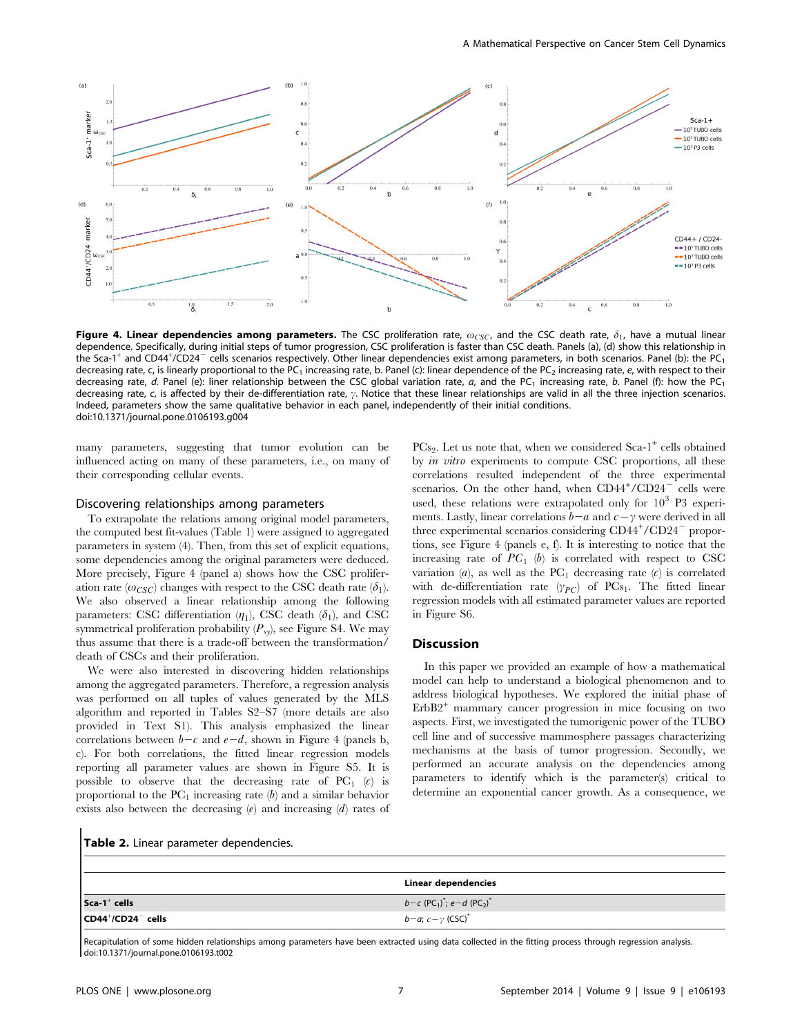

Figure 4. Linear dependencies among parameters. The CSC proliferation rate,  $\omega_{CSC}$ , and the CSC death rate,  $\delta_1$ , have a mutual linear dependence. Specifically, during initial steps of tumor progression, CSC proliferation is faster than CSC death. Panels (a), (d) show this relationship in the Sca-1<sup>+</sup> and CD44<sup>+</sup>/CD24<sup>-</sup> cells scenarios respectively. Other linear dependencies exist among parameters, in both scenarios. Panel (b): the PC<sub>1</sub> decreasing rate, c, is linearly proportional to the PC<sub>1</sub> increasing rate, b. Panel (c): linear dependence of the PC<sub>2</sub> increasing rate, e, with respect to their decreasing rate, d. Panel (e): liner relationship between the CSC global variation rate, a, and the PC<sub>1</sub> increasing rate, b. Panel (f): how the PC<sub>1</sub> decreasing rate,  $c$ , is affected by their de-differentiation rate,  $\gamma$ . Notice that these linear relationships are valid in all the three injection scenarios. Indeed, parameters show the same qualitative behavior in each panel, independently of their initial conditions. doi:10.1371/journal.pone.0106193.g004

many parameters, suggesting that tumor evolution can be influenced acting on many of these parameters, i.e., on many of their corresponding cellular events.

#### Discovering relationships among parameters

To extrapolate the relations among original model parameters, the computed best fit-values (Table 1) were assigned to aggregated parameters in system (4). Then, from this set of explicit equations, some dependencies among the original parameters were deduced. More precisely, Figure 4 (panel a) shows how the CSC proliferation rate ( $\omega_{CSC}$ ) changes with respect to the CSC death rate ( $\delta_1$ ). We also observed a linear relationship among the following parameters: CSC differentiation  $(\eta_1)$ , CSC death  $(\delta_1)$ , and CSC symmetrical proliferation probability  $(P_{sy})$ , see Figure S4. We may thus assume that there is a trade-off between the transformation/ death of CSCs and their proliferation.

We were also interested in discovering hidden relationships among the aggregated parameters. Therefore, a regression analysis was performed on all tuples of values generated by the MLS algorithm and reported in Tables S2–S7 (more details are also provided in Text S1). This analysis emphasized the linear correlations between  $b-c$  and  $e-d$ , shown in Figure 4 (panels b, c). For both correlations, the fitted linear regression models reporting all parameter values are shown in Figure S5. It is possible to observe that the decreasing rate of  $PC_1$  (c) is proportional to the  $PC_1$  increasing rate (b) and a similar behavior exists also between the decreasing  $(e)$  and increasing  $(d)$  rates of

 $PCs_2$ . Let us note that, when we considered Sca-1<sup>+</sup> cells obtained by *in vitro* experiments to compute CSC proportions, all these correlations resulted independent of the three experimental scenarios. On the other hand, when  $CD44^+ / CD24^-$  cells were used, these relations were extrapolated only for  $10^3$  P3 experiments. Lastly, linear correlations  $b-a$  and  $c-\gamma$  were derived in all three experimental scenarios considering CD44+/CD24<sup>-</sup> proportions, see Figure 4 (panels e, f). It is interesting to notice that the increasing rate of  $PC_1$  (b) is correlated with respect to CSC variation  $(a)$ , as well as the PC<sub>1</sub> decreasing rate  $(c)$  is correlated with de-differentiation rate  $(\gamma_{PC})$  of PCs<sub>1</sub>. The fitted linear regression models with all estimated parameter values are reported in Figure S6.

#### **Discussion**

In this paper we provided an example of how a mathematical model can help to understand a biological phenomenon and to address biological hypotheses. We explored the initial phase of ErbB2<sup>+</sup> mammary cancer progression in mice focusing on two aspects. First, we investigated the tumorigenic power of the TUBO cell line and of successive mammosphere passages characterizing mechanisms at the basis of tumor progression. Secondly, we performed an accurate analysis on the dependencies among parameters to identify which is the parameter(s) critical to determine an exponential cancer growth. As a consequence, we

|  |  |  | Table 2. Linear parameter dependencies. |  |  |
|--|--|--|-----------------------------------------|--|--|
|--|--|--|-----------------------------------------|--|--|

|                           | <b>Linear dependencies</b>                                                    |
|---------------------------|-------------------------------------------------------------------------------|
| Sca-1 <sup>+</sup> cells  | $b-c$ (PC <sub>1</sub> ) <sup>*</sup> ; $e-d$ (PC <sub>2</sub> ) <sup>*</sup> |
| $CO44^{+}/CD24^{-}$ cells | $b-a; c-\gamma$ (CSC) <sup>*</sup>                                            |
|                           |                                                                               |

Recapitulation of some hidden relationships among parameters have been extracted using data collected in the fitting process through regression analysis. doi:10.1371/journal.pone.0106193.t002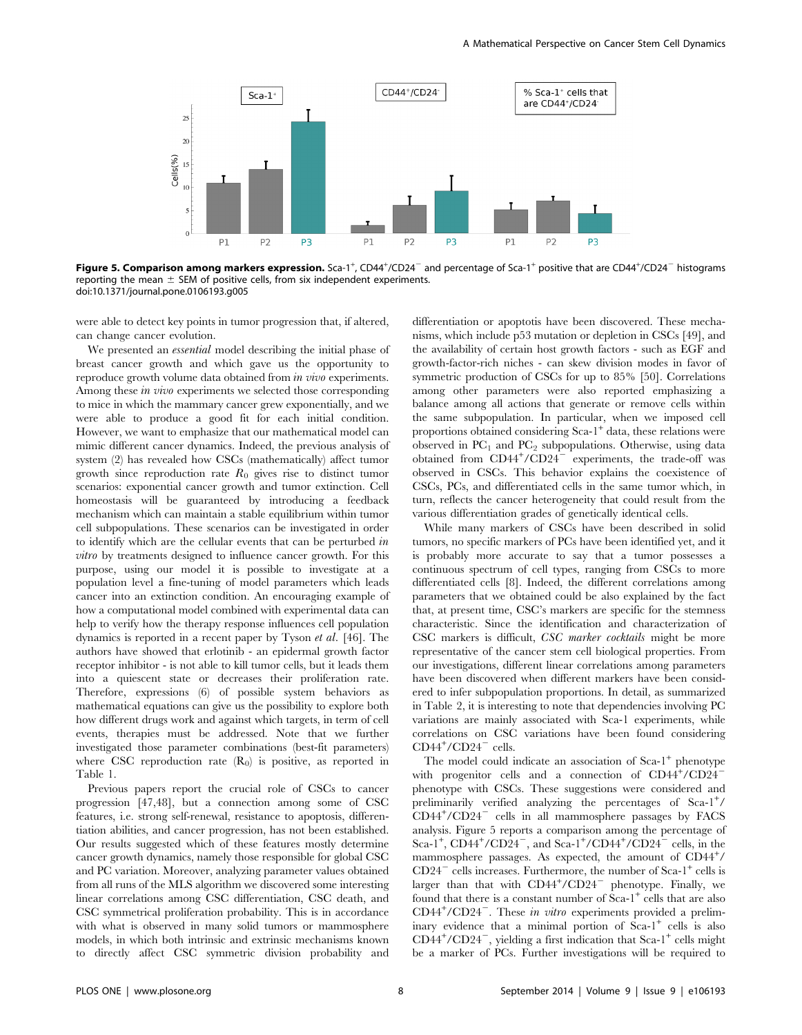

Figure 5. Comparison among markers expression. Sca-1<sup>+</sup>, CD44<sup>+</sup>/CD24<sup>-</sup> and percentage of Sca-1<sup>+</sup> positive that are CD44<sup>+</sup>/CD24<sup>-</sup> histograms reporting the mean  $\pm$  SEM of positive cells, from six independent experiments. doi:10.1371/journal.pone.0106193.g005

were able to detect key points in tumor progression that, if altered, can change cancer evolution.

We presented an essential model describing the initial phase of breast cancer growth and which gave us the opportunity to reproduce growth volume data obtained from *in vivo* experiments. Among these in vivo experiments we selected those corresponding to mice in which the mammary cancer grew exponentially, and we were able to produce a good fit for each initial condition. However, we want to emphasize that our mathematical model can mimic different cancer dynamics. Indeed, the previous analysis of system (2) has revealed how CSCs (mathematically) affect tumor growth since reproduction rate  $R_0$  gives rise to distinct tumor scenarios: exponential cancer growth and tumor extinction. Cell homeostasis will be guaranteed by introducing a feedback mechanism which can maintain a stable equilibrium within tumor cell subpopulations. These scenarios can be investigated in order to identify which are the cellular events that can be perturbed in vitro by treatments designed to influence cancer growth. For this purpose, using our model it is possible to investigate at a population level a fine-tuning of model parameters which leads cancer into an extinction condition. An encouraging example of how a computational model combined with experimental data can help to verify how the therapy response influences cell population dynamics is reported in a recent paper by Tyson et al. [46]. The authors have showed that erlotinib - an epidermal growth factor receptor inhibitor - is not able to kill tumor cells, but it leads them into a quiescent state or decreases their proliferation rate. Therefore, expressions (6) of possible system behaviors as mathematical equations can give us the possibility to explore both how different drugs work and against which targets, in term of cell events, therapies must be addressed. Note that we further investigated those parameter combinations (best-fit parameters) where CSC reproduction rate  $(R_0)$  is positive, as reported in Table 1.

Previous papers report the crucial role of CSCs to cancer progression [47,48], but a connection among some of CSC features, i.e. strong self-renewal, resistance to apoptosis, differentiation abilities, and cancer progression, has not been established. Our results suggested which of these features mostly determine cancer growth dynamics, namely those responsible for global CSC and PC variation. Moreover, analyzing parameter values obtained from all runs of the MLS algorithm we discovered some interesting linear correlations among CSC differentiation, CSC death, and CSC symmetrical proliferation probability. This is in accordance with what is observed in many solid tumors or mammosphere models, in which both intrinsic and extrinsic mechanisms known to directly affect CSC symmetric division probability and differentiation or apoptotis have been discovered. These mechanisms, which include p53 mutation or depletion in CSCs [49], and the availability of certain host growth factors - such as EGF and growth-factor-rich niches - can skew division modes in favor of symmetric production of CSCs for up to 85% [50]. Correlations among other parameters were also reported emphasizing a balance among all actions that generate or remove cells within the same subpopulation. In particular, when we imposed cell proportions obtained considering  $Sca-1^+$  data, these relations were observed in  $PC<sub>1</sub>$  and  $PC<sub>2</sub>$  subpopulations. Otherwise, using data obtained from  $CD44^+ / CD24^-$  experiments, the trade-off was observed in CSCs. This behavior explains the coexistence of CSCs, PCs, and differentiated cells in the same tumor which, in turn, reflects the cancer heterogeneity that could result from the various differentiation grades of genetically identical cells.

While many markers of CSCs have been described in solid tumors, no specific markers of PCs have been identified yet, and it is probably more accurate to say that a tumor possesses a continuous spectrum of cell types, ranging from CSCs to more differentiated cells [8]. Indeed, the different correlations among parameters that we obtained could be also explained by the fact that, at present time, CSC's markers are specific for the stemness characteristic. Since the identification and characterization of CSC markers is difficult, CSC marker cocktails might be more representative of the cancer stem cell biological properties. From our investigations, different linear correlations among parameters have been discovered when different markers have been considered to infer subpopulation proportions. In detail, as summarized in Table 2, it is interesting to note that dependencies involving PC variations are mainly associated with Sca-1 experiments, while correlations on CSC variations have been found considering  $CD44^+/CD24^-$  cells.

The model could indicate an association of  $Sca-1^+$  phenotype with progenitor cells and a connection of  $CD44^+ / CD24^$ phenotype with CSCs. These suggestions were considered and preliminarily verified analyzing the percentages of Sca-1<sup>+</sup>/ CD44<sup>+</sup>/CD24<sup>-</sup> cells in all mammosphere passages by FACS analysis. Figure 5 reports a comparison among the percentage of Sca-1<sup>+</sup>, CD44<sup>+</sup>/CD24<sup>-</sup>, and Sca-1<sup>+</sup>/CD44<sup>+</sup>/CD24<sup>-</sup> cells, in the mammosphere passages. As expected, the amount of CD44<sup>+</sup>/  $CD24$ <sup>-</sup> cells increases. Furthermore, the number of Sca-1<sup>+</sup> cells is larger than that with CD44+/CD24<sup>-</sup> phenotype. Finally, we found that there is a constant number of  $Sca-1^+$  cells that are also CD44<sup>+</sup>/CD24<sup>-</sup>. These in vitro experiments provided a preliminary evidence that a minimal portion of  $Sca-1^+$  cells is also CD44<sup>+</sup>/CD24<sup>-</sup>, yielding a first indication that Sca-1<sup>+</sup> cells might be a marker of PCs. Further investigations will be required to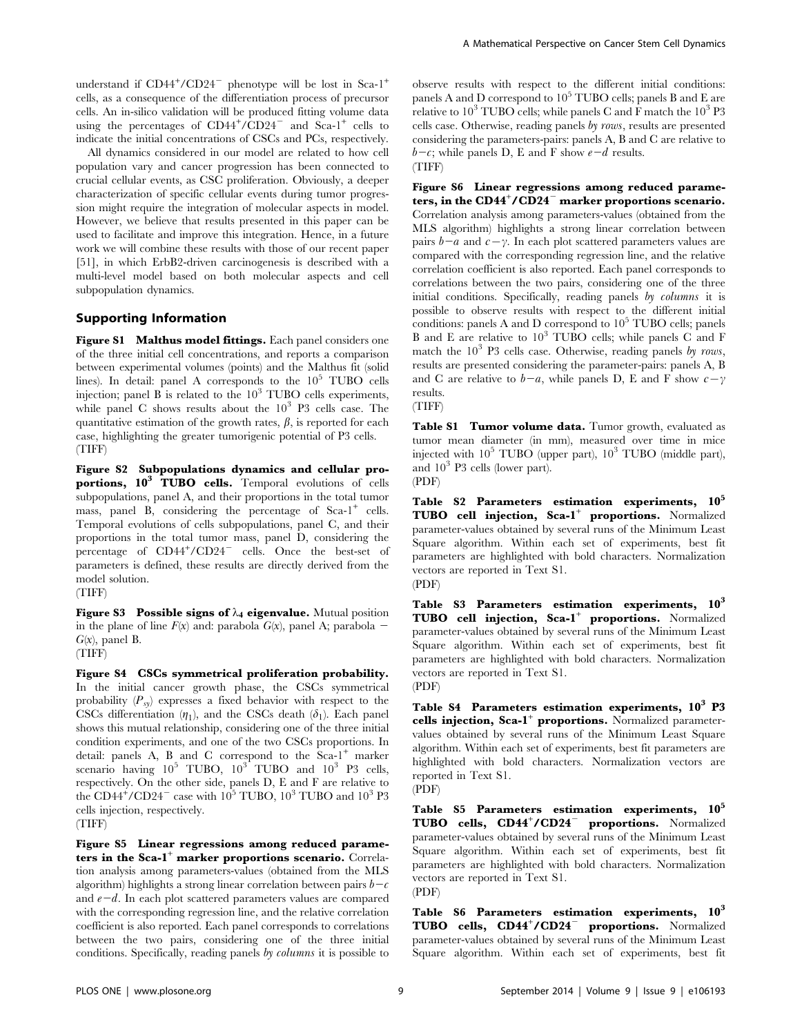understand if CD44<sup>+</sup>/CD24<sup>-</sup> phenotype will be lost in Sca-1<sup>+</sup> cells, as a consequence of the differentiation process of precursor cells. An in-silico validation will be produced fitting volume data using the percentages of  $CD44^{+}/CD24^{-}$  and  $Sca-1^{+}$  cells to indicate the initial concentrations of CSCs and PCs, respectively.

All dynamics considered in our model are related to how cell population vary and cancer progression has been connected to crucial cellular events, as CSC proliferation. Obviously, a deeper characterization of specific cellular events during tumor progression might require the integration of molecular aspects in model. However, we believe that results presented in this paper can be used to facilitate and improve this integration. Hence, in a future work we will combine these results with those of our recent paper [51], in which ErbB2-driven carcinogenesis is described with a multi-level model based on both molecular aspects and cell subpopulation dynamics.

#### Supporting Information

Figure S1 Malthus model fittings. Each panel considers one of the three initial cell concentrations, and reports a comparison between experimental volumes (points) and the Malthus fit (solid lines). In detail: panel A corresponds to the  $10^5$  TUBO cells injection; panel  $\overrightarrow{B}$  is related to the 10<sup>3</sup> TUBO cells experiments, while panel C shows results about the  $10^3$  P3 cells case. The quantitative estimation of the growth rates,  $\beta$ , is reported for each case, highlighting the greater tumorigenic potential of P3 cells. (TIFF)

Figure S2 Subpopulations dynamics and cellular pro**portions,**  $10^3$  **TUBO cells.** Temporal evolutions of cells subpopulations, panel A, and their proportions in the total tumor mass, panel B, considering the percentage of Sca-1<sup>+</sup> cells. Temporal evolutions of cells subpopulations, panel C, and their proportions in the total tumor mass, panel D, considering the percentage of CD44+/CD24<sup>-</sup> cells. Once the best-set of parameters is defined, these results are directly derived from the model solution.

## (TIFF)

Figure S3 Possible signs of  $\lambda_4$  eigenvalue. Mutual position in the plane of line  $F(x)$  and: parabola  $G(x)$ , panel A; parabola - $G(x)$ , panel B. (TIFF)

Figure S4 CSCs symmetrical proliferation probability. In the initial cancer growth phase, the CSCs symmetrical probability  $(P_{\text{sv}})$  expresses a fixed behavior with respect to the CSCs differentiation  $(\eta_1)$ , and the CSCs death  $(\delta_1)$ . Each panel shows this mutual relationship, considering one of the three initial condition experiments, and one of the two CSCs proportions. In detail: panels A, B and C correspond to the  $Sca-1^+$  marker scenario having  $10^5$  TUBO,  $10^3$  TUBO and  $10^3$  P3 cells, respectively. On the other side, panels D, E and F are relative to the CD44<sup>+</sup>/CD24<sup>-</sup> case with  $10^5$  TUBO,  $10^3$  TUBO and  $10^3$  P3 cells injection, respectively.

(TIFF)

Figure S5 Linear regressions among reduced parameters in the Sca-1<sup>+</sup> marker proportions scenario. Correlation analysis among parameters-values (obtained from the MLS algorithm) highlights a strong linear correlation between pairs  $b-c$ and  $e-d$ . In each plot scattered parameters values are compared with the corresponding regression line, and the relative correlation coefficient is also reported. Each panel corresponds to correlations between the two pairs, considering one of the three initial conditions. Specifically, reading panels by columns it is possible to observe results with respect to the different initial conditions: panels A and D correspond to  $10^5$  TUBO cells; panels B and E are relative to  $10^3$  TUBO cells; while panels C and F match the  $10^3$  P3 cells case. Otherwise, reading panels by rows, results are presented considering the parameters-pairs: panels A, B and C are relative to  $b-c$ ; while panels D, E and F show  $e-d$  results.

(TIFF)

Figure S6 Linear regressions among reduced parameters, in the CD44+/CD24<sup>-</sup> marker proportions scenario. Correlation analysis among parameters-values (obtained from the MLS algorithm) highlights a strong linear correlation between pairs  $b-a$  and  $c-\gamma$ . In each plot scattered parameters values are compared with the corresponding regression line, and the relative correlation coefficient is also reported. Each panel corresponds to correlations between the two pairs, considering one of the three initial conditions. Specifically, reading panels by columns it is possible to observe results with respect to the different initial conditions: panels A and D correspond to  $10<sup>5</sup>$  TUBO cells; panels B and E are relative to  $10^3$  TUBO cells; while panels C and F match the  $10^3$  P3 cells case. Otherwise, reading panels by rows, results are presented considering the parameter-pairs: panels A, B and C are relative to  $b-a$ , while panels D, E and F show  $c-\gamma$ results.



Table S1 Tumor volume data. Tumor growth, evaluated as tumor mean diameter (in mm), measured over time in mice injected with  $10^5$  TUBO (upper part),  $10^3$  TUBO (middle part), and  $10^3$  P3 cells (lower part).

(PDF)

Table S2 Parameters estimation experiments,  $10^5$ TUBO cell injection, Sca-1<sup>+</sup> proportions. Normalized parameter-values obtained by several runs of the Minimum Least Square algorithm. Within each set of experiments, best fit parameters are highlighted with bold characters. Normalization vectors are reported in Text S1. (PDF)

Table S3 Parameters estimation experiments,  $10^3$ TUBO cell injection, Sca-1<sup>+</sup> proportions. Normalized parameter-values obtained by several runs of the Minimum Least Square algorithm. Within each set of experiments, best fit parameters are highlighted with bold characters. Normalization vectors are reported in Text S1. (PDF)

Table S4 Parameters estimation experiments,  $10^3$  P3 cells injection,  $Sca-1^+$  proportions. Normalized parametervalues obtained by several runs of the Minimum Least Square algorithm. Within each set of experiments, best fit parameters are highlighted with bold characters. Normalization vectors are reported in Text S1. (PDF)

Table S5 Parameters estimation experiments,  $10^5$ TUBO cells, CD44+/CD24<sup>-</sup> proportions. Normalized parameter-values obtained by several runs of the Minimum Least Square algorithm. Within each set of experiments, best fit parameters are highlighted with bold characters. Normalization vectors are reported in Text S1. (PDF)

Table S6 Parameters estimation experiments,  $10^3$ TUBO cells, CD44+/CD24<sup>-</sup> proportions. Normalized parameter-values obtained by several runs of the Minimum Least Square algorithm. Within each set of experiments, best fit